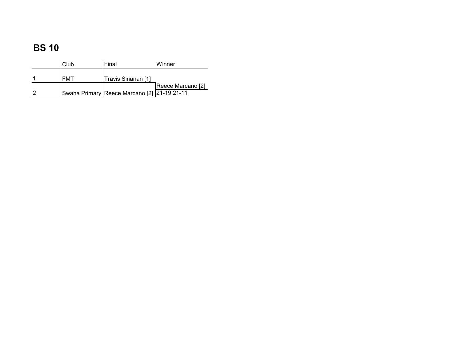| Club       | <b>IFinal</b>                               | Winner            |
|------------|---------------------------------------------|-------------------|
| <b>FMT</b> | Travis Sinanan [1]                          |                   |
|            | Swaha Primary Reece Marcano [2] 21-19 21-11 | Reece Marcano [2] |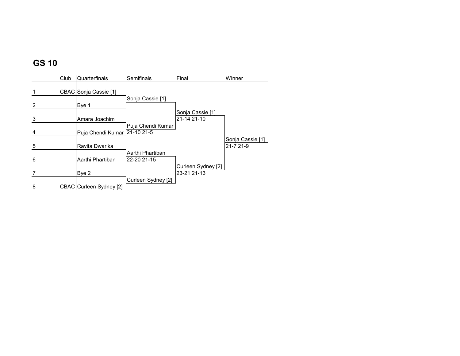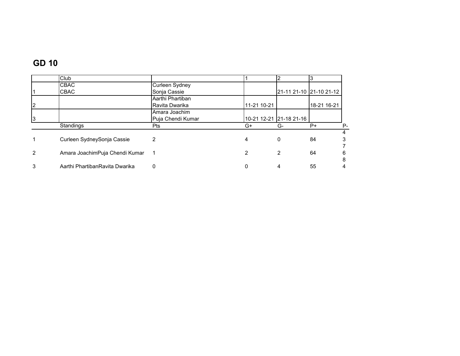# **GD 10**

|                | Club                           |                   |             |                         |             |      |
|----------------|--------------------------------|-------------------|-------------|-------------------------|-------------|------|
|                | <b>CBAC</b>                    | Curleen Sydney    |             |                         |             |      |
|                | CBAC                           | Sonja Cassie      |             | 21-11 21-10 21-10 21-12 |             |      |
|                |                                | Aarthi Phartiban  |             |                         |             |      |
| $\overline{2}$ |                                | Ravita Dwarika    | 11-21 10-21 |                         | 18-21 16-21 |      |
|                |                                | Amara Joachim     |             |                         |             |      |
| 3              |                                | Puja Chendi Kumar |             | 10-21 12-21 21-18 21-16 |             |      |
|                | Standings                      | <b>Pts</b>        | G+          | G-                      | $P+$        | $P-$ |
|                |                                |                   |             |                         |             | 4    |
| 1              | Curleen SydneySonja Cassie     | 2                 | 4           | 0                       | 84          |      |
|                |                                |                   |             |                         |             |      |
| $\overline{2}$ | Amara JoachimPuja Chendi Kumar |                   | 2           | 2                       | 64          | 6    |
|                |                                |                   |             |                         |             | 8    |
| 3              | Aarthi PhartibanRavita Dwarika | $\Omega$          | 0           | 4                       | 55          | 4    |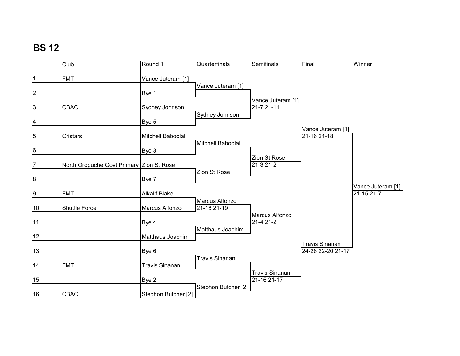|                | Club                                     | Round 1               | Quarterfinals                 | Semifinals                           | Final                                      | Winner                          |
|----------------|------------------------------------------|-----------------------|-------------------------------|--------------------------------------|--------------------------------------------|---------------------------------|
| $\mathbf{1}$   | <b>FMT</b>                               | Vance Juteram [1]     |                               |                                      |                                            |                                 |
| $\overline{2}$ |                                          | Bye 1                 | Vance Juteram [1]             |                                      |                                            |                                 |
| $\frac{3}{2}$  | <b>CBAC</b>                              | Sydney Johnson        |                               | Vance Juteram [1]<br>$21 - 721 - 11$ |                                            |                                 |
| $\overline{4}$ |                                          | Bye 5                 | Sydney Johnson                |                                      |                                            |                                 |
| $\overline{5}$ | Cristars                                 | Mitchell Baboolal     |                               |                                      | Vance Juteram [1]<br>21-16 21-18           |                                 |
| 6              |                                          | Bye 3                 | Mitchell Baboolal             |                                      |                                            |                                 |
| $\frac{7}{2}$  | North Oropuche Govt Primary Zion St Rose |                       | Zion St Rose                  | Zion St Rose<br>$21-321-2$           |                                            |                                 |
| $\frac{8}{1}$  |                                          | Bye 7                 |                               |                                      |                                            |                                 |
| $\frac{9}{2}$  | <b>FMT</b>                               | <b>Alkalif Blake</b>  |                               |                                      |                                            | Vance Juteram [1]<br>21-15 21-7 |
| 10             | <b>Shuttle Force</b>                     | Marcus Alfonzo        | Marcus Alfonzo<br>21-16 21-19 |                                      |                                            |                                 |
| 11             |                                          | Bye 4                 |                               | Marcus Alfonzo<br>$21-421-2$         |                                            |                                 |
| $\frac{12}{1}$ |                                          | Matthaus Joachim      | Matthaus Joachim              |                                      |                                            |                                 |
| 13             |                                          | Bye 6                 |                               |                                      | <b>Travis Sinanan</b><br>24-26 22-20 21-17 |                                 |
| 14             | <b>FMT</b>                               | <b>Travis Sinanan</b> | <b>Travis Sinanan</b>         |                                      |                                            |                                 |
| 15             |                                          | Bye 2                 |                               | <b>Travis Sinanan</b><br>21-16 21-17 |                                            |                                 |
| 16             | CBAC                                     | Stephon Butcher [2]   | Stephon Butcher [2]           |                                      |                                            |                                 |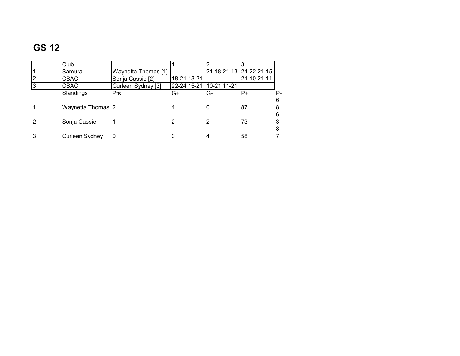|                | Club              |                     |             |                         |                         |    |
|----------------|-------------------|---------------------|-------------|-------------------------|-------------------------|----|
|                | Samurai           | Waynetta Thomas [1] |             |                         | 21-18 21-13 24-22 21-15 |    |
| $\overline{2}$ | CBAC              | Sonja Cassie [2]    | 18-21 13-21 |                         | 21-10 21-11             |    |
| 3              | CBAC              | Curleen Sydney [3]  |             | 22-24 15-21 10-21 11-21 |                         |    |
|                | Standings         | Pts                 | G+          | G-                      | P+                      | Р- |
|                |                   |                     |             |                         |                         | 6  |
|                | Waynetta Thomas 2 |                     |             |                         | 87                      |    |
|                |                   |                     |             |                         |                         | 6  |
| 2              | Sonja Cassie      |                     |             |                         | 73                      |    |
|                |                   |                     |             |                         |                         | 8  |
| 3              | Curleen Sydney    |                     |             |                         | 58                      |    |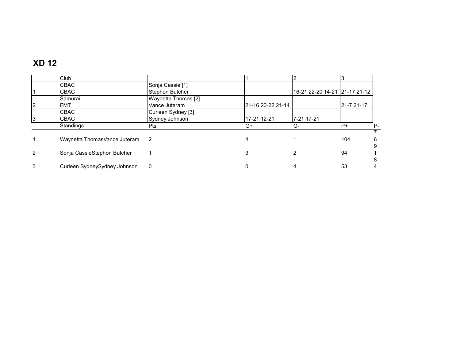# **XD 12**

|   | Club                         |                     |                   |                               |            |
|---|------------------------------|---------------------|-------------------|-------------------------------|------------|
|   | <b>CBAC</b>                  | Sonja Cassie [1]    |                   |                               |            |
|   | CBAC                         | Stephon Butcher     |                   | 16-21 22-20 14-21 21-17 21-12 |            |
|   | Samurai                      | Waynetta Thomas [2] |                   |                               |            |
| 2 | <b>FMT</b>                   | Vance Juteram       | 21-16 20-22 21-14 |                               | 21-7 21-17 |
|   | <b>CBAC</b>                  | Curleen Sydney [3]  |                   |                               |            |
| 3 | <b>CBAC</b>                  | Sydney Johnson      | 17-21 12-21       | 7-21 17-21                    |            |
|   | Standings                    | <b>Pts</b>          | G+                | G-                            | $P+$       |
|   |                              |                     |                   |                               |            |
|   | Waynetta ThomasVance Juteram | $\overline{2}$      |                   |                               | 104        |
|   |                              |                     |                   |                               |            |
| 2 | Sonja CassieStephon Butcher  |                     |                   |                               | 94         |
|   |                              |                     |                   |                               |            |
| 3 | Curleen SydneySydney Johnson | 0                   |                   |                               | 53         |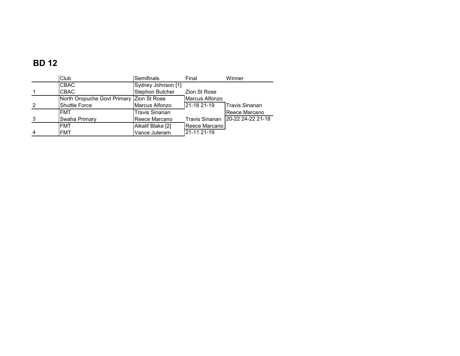### **BD 12**

|                | Club                                     | Semifinals            | Final                 | Winner                |
|----------------|------------------------------------------|-----------------------|-----------------------|-----------------------|
|                | <b>CBAC</b>                              | Sydney Johnson [1]    |                       |                       |
|                | <b>CBAC</b>                              | Stephon Butcher       | Zion St Rose          |                       |
|                | North Oropuche Govt Primary Zion St Rose |                       | <b>Marcus Alfonzo</b> |                       |
| $\overline{2}$ | <b>Shuttle Force</b>                     | Marcus Alfonzo        | 21-18 21-19           | <b>Travis Sinanan</b> |
|                | <b>FMT</b>                               | <b>Travis Sinanan</b> |                       | Reece Marcano         |
| 3              | Swaha Primary                            | Reece Marcano         | Travis Sinanan        | 20-22 24-22 21-18     |
|                | <b>FMT</b>                               | Alkalif Blake [2]     | Reece Marcano         |                       |
| $\overline{4}$ | <b>FMT</b>                               | Vance Juteram         | 21-11 21-19           |                       |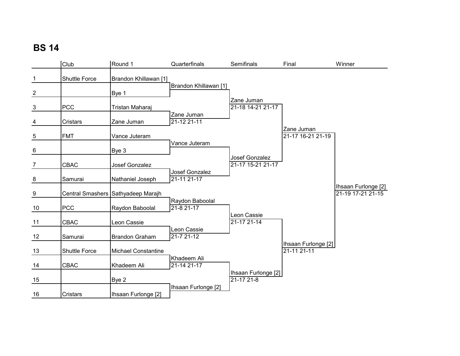|                         | Club                 | Round 1                            | Quarterfinals                  | Semifinals                             | Final                                   | Winner                                   |
|-------------------------|----------------------|------------------------------------|--------------------------------|----------------------------------------|-----------------------------------------|------------------------------------------|
| $\mathbf{1}$            | <b>Shuttle Force</b> | Brandon Khillawan [1]              |                                |                                        |                                         |                                          |
| $\overline{\mathbf{c}}$ |                      | Bye 1                              | Brandon Khillawan [1]          |                                        |                                         |                                          |
| $\mathbf{3}$            | <b>PCC</b>           | Tristan Maharaj                    |                                | Zane Juman<br>21-18 14-21 21-17        |                                         |                                          |
| 4                       | Cristars             | Zane Juman                         | Zane Juman<br>21-12 21-11      |                                        |                                         |                                          |
| $\overline{5}$          | <b>FMT</b>           | Vance Juteram                      |                                |                                        | Zane Juman<br>21-17 16-21 21-19         |                                          |
| 6                       |                      | Bye 3                              | Vance Juteram                  |                                        |                                         |                                          |
| $\overline{7}$          | CBAC                 | Josef Gonzalez                     |                                | Josef Gonzalez<br>21-17 15-21 21-17    |                                         |                                          |
| $\frac{8}{1}$           | Samurai              | Nathaniel Joseph                   | Josef Gonzalez<br>21-11 21-17  |                                        |                                         |                                          |
| $\overline{9}$          |                      | Central Smashers Sathyadeep Marajh |                                |                                        |                                         | Ihsaan Furlonge [2]<br>21-19 17-21 21-15 |
| 10                      | <b>PCC</b>           | Raydon Baboolal                    | Raydon Baboolal<br>21-8 21-17  |                                        |                                         |                                          |
| 11                      | CBAC                 | Leon Cassie                        |                                | Leon Cassie<br>$21 - 1721 - 14$        |                                         |                                          |
| 12                      | Samurai              | <b>Brandon Graham</b>              | Leon Cassie<br>$21 - 721 - 12$ |                                        |                                         |                                          |
| $\underline{13}$        | <b>Shuttle Force</b> | <b>Michael Constantine</b>         |                                |                                        | Ihsaan Furlonge [2]<br>$21 - 1121 - 11$ |                                          |
| 14                      | CBAC                 | Khadeem Ali                        | Khadeem Ali<br>21-14 21-17     |                                        |                                         |                                          |
| 15                      |                      | Bye 2                              |                                | Ihsaan Furlonge [2]<br>$21 - 1721 - 8$ |                                         |                                          |
| 16                      | Cristars             | Ihsaan Furlonge [2]                | Ihsaan Furlonge [2]            |                                        |                                         |                                          |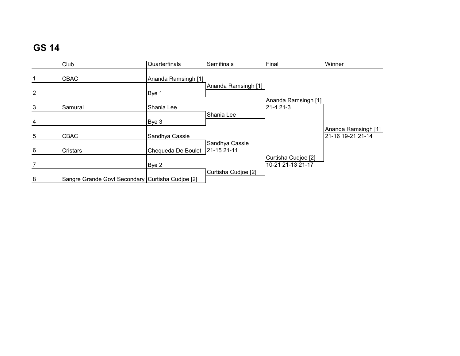|                 | Club                                             | Quarterfinals       | Semifinals                    | Final                                    | Winner                                   |
|-----------------|--------------------------------------------------|---------------------|-------------------------------|------------------------------------------|------------------------------------------|
| $\mathbf{1}$    | <b>CBAC</b>                                      | Ananda Ramsingh [1] |                               |                                          |                                          |
| $\overline{2}$  |                                                  | Bye 1               | Ananda Ramsingh [1]           |                                          |                                          |
| 3               | Samurai                                          | Shania Lee          |                               | Ananda Ramsingh [1]<br>21-4 21-3         |                                          |
| 4               |                                                  | Bye 3               | Shania Lee                    |                                          |                                          |
| $5\phantom{.0}$ | <b>CBAC</b>                                      | Sandhya Cassie      |                               |                                          | Ananda Ramsingh [1]<br>21-16 19-21 21-14 |
| 6               | <b>Cristars</b>                                  | Chequeda De Boulet  | Sandhya Cassie<br>21-15 21-11 |                                          |                                          |
| $\overline{7}$  |                                                  | Bye 2               |                               | Curtisha Cudioe [2]<br>10-21 21-13 21-17 |                                          |
| 8               | Sangre Grande Govt Secondary Curtisha Cudioe [2] |                     | Curtisha Cudioe [2]           |                                          |                                          |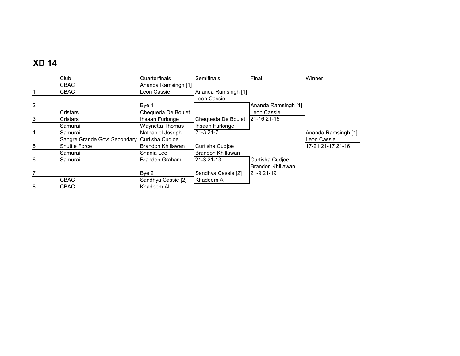### **XD 14**

|   | Club                         | Quarterfinals         | Semifinals          | Final               | Winner              |
|---|------------------------------|-----------------------|---------------------|---------------------|---------------------|
|   | CBAC                         | Ananda Ramsingh [1]   |                     |                     |                     |
|   | CBAC                         | Leon Cassie           | Ananda Ramsingh [1] |                     |                     |
|   |                              |                       | Leon Cassie         |                     |                     |
| 2 |                              | Bye 1                 |                     | Ananda Ramsingh [1] |                     |
|   | Cristars                     | Chequeda De Boulet    |                     | Leon Cassie         |                     |
| 3 | Cristars                     | Ihsaan Furlonge       | Chequeda De Boulet  | 21-16 21-15         |                     |
|   | Samurai                      | Waynetta Thomas       | Ihsaan Furlonge     |                     |                     |
| 4 | Samurai                      | Nathaniel Joseph      | 21-3 21-7           |                     | Ananda Ramsingh [1] |
|   | Sangre Grande Govt Secondary | Curtisha Cudjoe       |                     |                     | Leon Cassie         |
| 5 | <b>Shuttle Force</b>         | Brandon Khillawan     | Curtisha Cudjoe     |                     | 17-21 21-17 21-16   |
|   | Samurai                      | Shania Lee            | Brandon Khillawan   |                     |                     |
| 6 | Samurai                      | <b>Brandon Graham</b> | 21-3 21-13          | Curtisha Cudioe     |                     |
|   |                              |                       |                     | Brandon Khillawan   |                     |
| 7 |                              | Bye 2                 | Sandhya Cassie [2]  | 21-9 21-19          |                     |
|   | <b>CBAC</b>                  | Sandhya Cassie [2]    | Khadeem Ali         |                     |                     |
| 8 | CBAC                         | Khadeem Ali           |                     |                     |                     |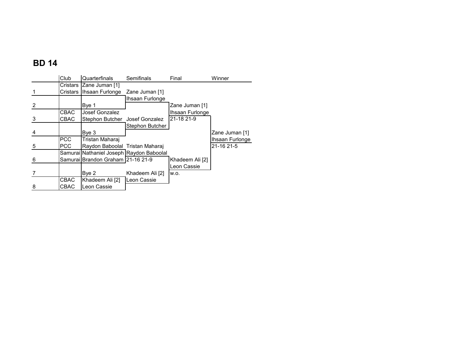### **BD 14**

|   | Club        | Quarterfinals                            | Semifinals      | Final           | Winner          |
|---|-------------|------------------------------------------|-----------------|-----------------|-----------------|
|   |             | Cristars Zane Juman [1]                  |                 |                 |                 |
|   | Cristars    | Ihsaan Furlonge                          | Zane Juman [1]  |                 |                 |
|   |             |                                          | Ihsaan Furlonge |                 |                 |
| 2 |             | Bye 1                                    |                 | Zane Juman [1]  |                 |
|   | <b>CBAC</b> | Josef Gonzalez                           |                 | Ihsaan Furlonge |                 |
| 3 | <b>CBAC</b> | Stephon Butcher                          | Josef Gonzalez  | 21-18 21-9      |                 |
|   |             |                                          | Stephon Butcher |                 |                 |
| 4 |             | Bye 3                                    |                 |                 | Zane Juman [1]  |
|   | <b>PCC</b>  | Tristan Maharaj                          |                 |                 | Ihsaan Furlonge |
| 5 | <b>PCC</b>  | Raydon Baboolal Tristan Maharai          |                 |                 | 21-16 21-5      |
|   |             | Samurai Nathaniel Joseph Raydon Baboolal |                 |                 |                 |
| 6 |             | Samurai Brandon Graham 21-16 21-9        |                 | Khadeem Ali [2] |                 |
|   |             |                                          |                 | Leon Cassie     |                 |
|   |             | Bye 2                                    | Khadeem Ali [2] | W.O.            |                 |
|   | CBAC        | Khadeem Ali [2]                          | Leon Cassie     |                 |                 |
| 8 | <b>CBAC</b> | Leon Cassie                              |                 |                 |                 |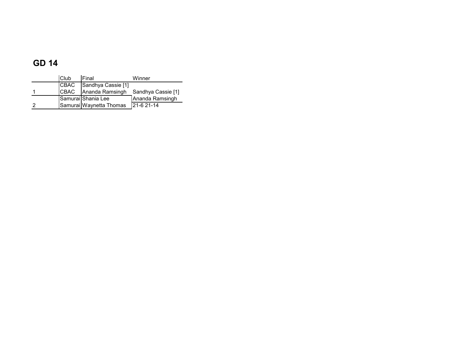### **GD 14**

| Club        | Final                   | Winner             |
|-------------|-------------------------|--------------------|
| <b>CBAC</b> | Sandhya Cassie [1]      |                    |
| <b>CBAC</b> | Ananda Ramsingh         | Sandhya Cassie [1] |
|             | Samurai Shania Lee      | Ananda Ramsingh    |
|             | Samurai Waynetta Thomas | 121-6 21-14        |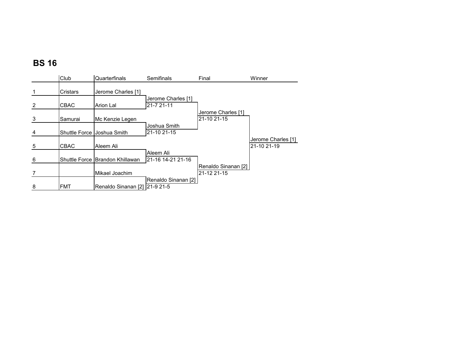|   | Club        | Quarterfinals                   | Semifinals                       | Final                              | Winner                            |
|---|-------------|---------------------------------|----------------------------------|------------------------------------|-----------------------------------|
|   | Cristars    | Jerome Charles [1]              |                                  |                                    |                                   |
| 2 | <b>CBAC</b> | Arion Lal                       | Jerome Charles [1]<br>21-7 21-11 |                                    |                                   |
| 3 | Samurai     | Mc Kenzie Legen                 |                                  | Jerome Charles [1]<br>21-10 21-15  |                                   |
| 4 |             | Shuttle Force IJoshua Smith     | Joshua Smith<br>21-10 21-15      |                                    |                                   |
| 5 | <b>CBAC</b> | Aleem Ali                       |                                  |                                    | Jerome Charles [1]<br>21-10 21-19 |
| 6 |             | Shuttle Force Brandon Khillawan | Aleem Ali<br>21-16 14-21 21-16   |                                    |                                   |
|   |             | Mikael Joachim                  |                                  | Renaldo Sinanan [2]<br>21-12 21-15 |                                   |
| 8 | <b>FMT</b>  | Renaldo Sinanan [2] 21-9 21-5   | Renaldo Sinanan [2]              |                                    |                                   |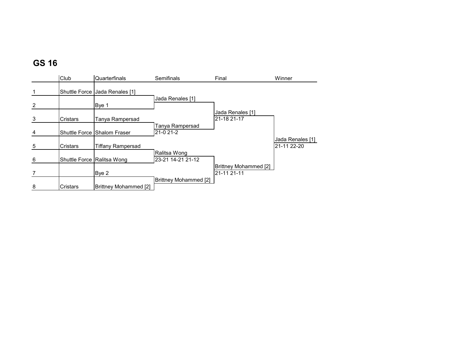|   | Club                 | Quarterfinals                | Semifinals                        | Final                                | Winner                          |
|---|----------------------|------------------------------|-----------------------------------|--------------------------------------|---------------------------------|
|   | <b>Shuttle Force</b> | Jada Renales [1]             |                                   |                                      |                                 |
| 2 |                      | Bye 1                        | Jada Renales [1]                  |                                      |                                 |
| 3 | Cristars             | Tanya Rampersad              |                                   | Jada Renales [1]<br>21-18 21-17      |                                 |
| 4 |                      | Shuttle Force Shalom Fraser  | Tanya Rampersad<br>21-0 21-2      |                                      |                                 |
| 5 | Cristars             | <b>Tiffany Rampersad</b>     |                                   |                                      | Jada Renales [1]<br>21-11 22-20 |
| 6 |                      | Shuttle Force Ralitsa Wong   | Ralitsa Wong<br>23-21 14-21 21-12 |                                      |                                 |
|   |                      | Bye 2                        |                                   | Brittney Mohammed [2]<br>21-11 21-11 |                                 |
| 8 | Cristars             | <b>Brittney Mohammed [2]</b> | Brittney Mohammed [2]             |                                      |                                 |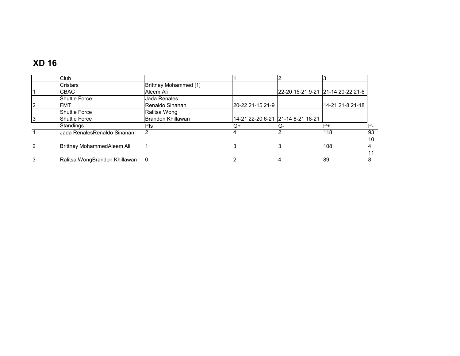# **XD 16**

|    | Club                          |                              |                  |                                   |                                   |    |
|----|-------------------------------|------------------------------|------------------|-----------------------------------|-----------------------------------|----|
|    | Cristars                      | <b>Brittney Mohammed [1]</b> |                  |                                   |                                   |    |
|    | CBAC                          | Aleem Ali                    |                  |                                   | 22-20 15-21 9-21 21-14 20-22 21-6 |    |
|    | <b>Shuttle Force</b>          | Jada Renales                 |                  |                                   |                                   |    |
| 2  | FMT                           | Renaldo Sinanan              | 20-22 21-15 21-9 |                                   | 14-21 21-8 21-18                  |    |
|    | <b>Shuttle Force</b>          | Ralitsa Wong                 |                  |                                   |                                   |    |
| I3 | <b>Shuttle Force</b>          | Brandon Khillawan            |                  | 14-21 22-20 6-21 21-14 8-21 18-21 |                                   |    |
|    | Standings                     | Pts                          | G+               | G-                                | P+                                | Р- |
|    | Jada RenalesRenaldo Sinanan   | 2                            |                  |                                   | 118                               | 93 |
|    |                               |                              |                  |                                   |                                   | 10 |
| 2  | Brittney MohammedAleem Ali    |                              |                  |                                   | 108                               |    |
|    |                               |                              |                  |                                   |                                   |    |
| 3  | Ralitsa WongBrandon Khillawan | - 0                          |                  |                                   | 89                                |    |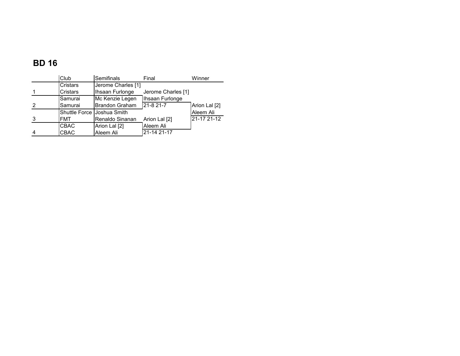### **BD 16**

|   | Club                        | Semifinals            | Final              | Winner        |
|---|-----------------------------|-----------------------|--------------------|---------------|
|   | <b>Cristars</b>             | Jerome Charles [1]    |                    |               |
|   | Cristars                    | Ihsaan Furlonge       | Jerome Charles [1] |               |
|   | Samurai                     | Mc Kenzie Legen       | Ihsaan Furlonge    |               |
| 2 | Samurai                     | <b>Brandon Graham</b> | 21-8 21-7          | Arion Lal [2] |
|   | Shuttle Force IJoshua Smith |                       |                    | Aleem Ali     |
| 3 | <b>FMT</b>                  | Renaldo Sinanan       | Arion Lal [2]      | 21-17 21-12   |
|   | <b>CBAC</b>                 | Arion Lal [2]         | Aleem Ali          |               |
| 4 | <b>CBAC</b>                 | Aleem Ali             | 21-14 21-17        |               |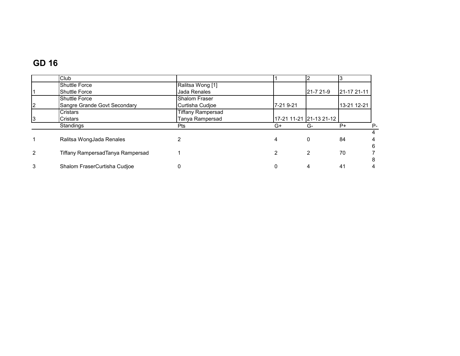### **GD 16**

|                | Club                             |                          |           |                         |             |       |
|----------------|----------------------------------|--------------------------|-----------|-------------------------|-------------|-------|
|                | <b>Shuttle Force</b>             | Ralitsa Wong [1]         |           |                         |             |       |
|                | <b>Shuttle Force</b>             | Jada Renales             |           | 21-7 21-9               | 21-17 21-11 |       |
|                | <b>Shuttle Force</b>             | <b>Shalom Fraser</b>     |           |                         |             |       |
| 2              | Sangre Grande Govt Secondary     | Curtisha Cudjoe          | 7-21 9-21 |                         | 13-21 12-21 |       |
|                | <b>Cristars</b>                  | <b>Tiffany Rampersad</b> |           |                         |             |       |
| 3              | <b>Cristars</b>                  | Tanya Rampersad          |           | 17-21 11-21 21-13 21-12 |             |       |
|                | Standings                        | <b>Pts</b>               | G+        | G-                      | $P+$        | $P -$ |
|                |                                  |                          |           |                         |             | 4     |
|                | Ralitsa WongJada Renales         |                          | 4         | 0                       | 84          |       |
|                |                                  |                          |           |                         |             | 6     |
| $\overline{2}$ | Tiffany RampersadTanya Rampersad |                          | 2         | 2                       | 70          |       |
|                |                                  |                          |           |                         |             | 8     |
| 3              | Shalom FraserCurtisha Cudjoe     |                          | 0         |                         | 41          |       |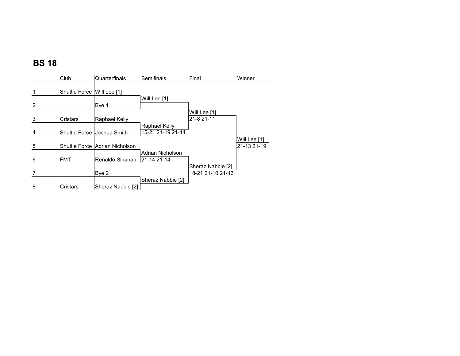|   | Club                       | Quarterfinals                  | Semifinals                         | Final                                  | Winner                      |
|---|----------------------------|--------------------------------|------------------------------------|----------------------------------------|-----------------------------|
|   | Shuttle Force Will Lee [1] |                                |                                    |                                        |                             |
| 2 |                            | Bye 1                          | Will Lee [1]                       |                                        |                             |
| 3 | Cristars                   | Raphael Kelly                  |                                    | Will Lee [1]<br>21-8 21-11             |                             |
| 4 |                            | Shuttle Force Joshua Smith     | Raphael Kelly<br>15-21 21-19 21-14 |                                        |                             |
| 5 |                            | Shuttle Force Adrian Nicholson |                                    |                                        | Will Lee [1]<br>21-13 21-19 |
| 6 | <b>FMT</b>                 | Renaldo Sinanan                | Adrian Nicholson<br>21-14 21-14    |                                        |                             |
|   |                            | Bye 2                          |                                    | Sheraz Nabbie [2]<br>18-21 21-10 21-13 |                             |
| 8 | Cristars                   | Sheraz Nabbie [2]              | Sheraz Nabbie [2]                  |                                        |                             |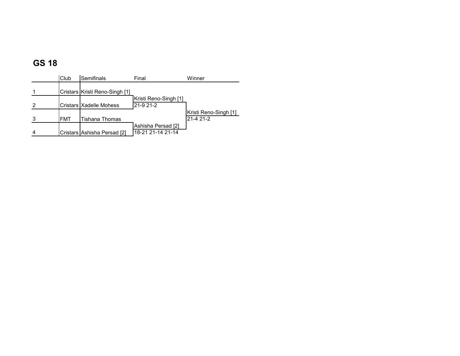|                | Club       | Semifinals                     | Final                 | Winner                |
|----------------|------------|--------------------------------|-----------------------|-----------------------|
|                |            |                                |                       |                       |
|                |            | Cristars Kristi Reno-Singh [1] |                       |                       |
|                |            |                                | Kristi Reno-Singh [1] |                       |
| 2              |            | Cristars IXadelle Mohess       | 21-9 21-2             |                       |
|                |            |                                |                       | Kristi Reno-Singh [1] |
| 3              | <b>FMT</b> | Tishana Thomas                 |                       | 21-4 21-2             |
|                |            |                                | Ashisha Persad [2]    |                       |
| $\overline{4}$ |            | Cristars Ashisha Persad [2]    | 18-21 21-14 21-14     |                       |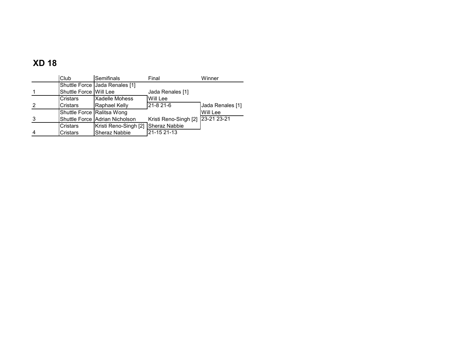# **XD 18**

|                | Club                       | Semifinals                     | Final                 | Winner           |
|----------------|----------------------------|--------------------------------|-----------------------|------------------|
|                |                            | Shuttle Force Jada Renales [1] |                       |                  |
|                | Shuttle Force Will Lee     |                                | Jada Renales [1]      |                  |
|                | Cristars                   | <b>Xadelle Mohess</b>          | Will Lee              |                  |
| 2              | Cristars                   | Raphael Kelly                  | 21-8 21-6             | Jada Renales [1] |
|                | Shuttle Force Ralitsa Wong |                                |                       | Will Lee         |
| 3              |                            | Shuttle Force Adrian Nicholson | Kristi Reno-Singh [2] | 23-21 23-21      |
|                | Cristars                   | Kristi Reno-Singh [2]          | <b>Sheraz Nabbie</b>  |                  |
| $\overline{4}$ | Cristars                   | Sheraz Nabbie                  | 21-15 21-13           |                  |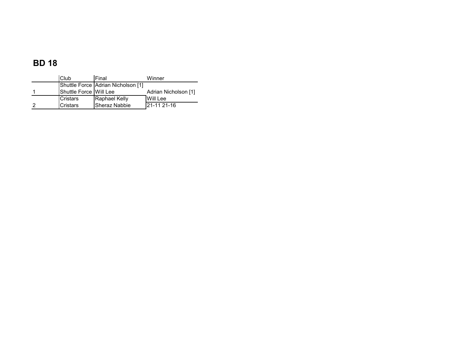### **BD 18**

| Club                   | <b>IFinal</b>                      | Winner               |
|------------------------|------------------------------------|----------------------|
|                        | Shuttle Force Adrian Nicholson [1] |                      |
| Shuttle Force Will Lee |                                    | Adrian Nicholson [1] |
| <b>Cristars</b>        | Raphael Kelly                      | Will Lee             |
| <b>Cristars</b>        | Sheraz Nabbie                      | 21-11 21-16          |